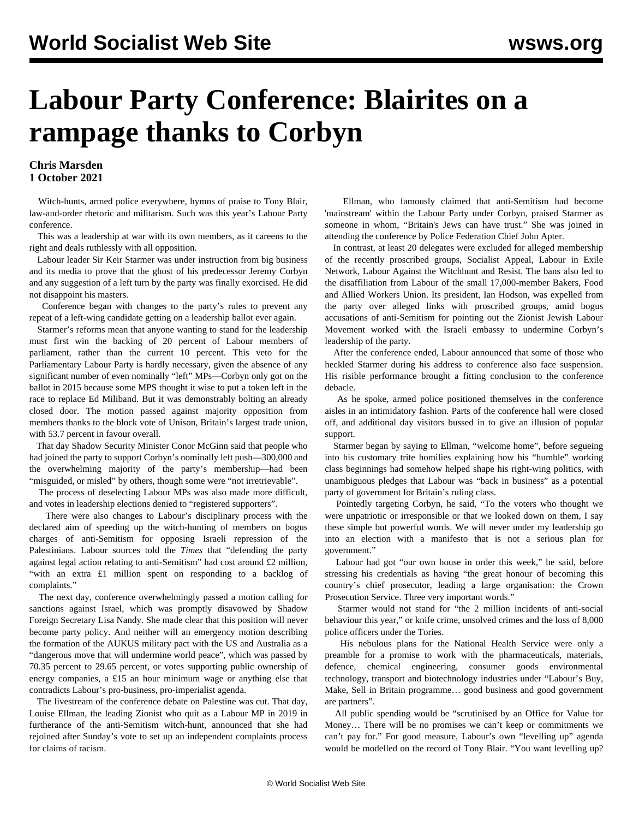## **Labour Party Conference: Blairites on a rampage thanks to Corbyn**

## **Chris Marsden 1 October 2021**

 Witch-hunts, armed police everywhere, hymns of praise to Tony Blair, law-and-order rhetoric and militarism. Such was this year's Labour Party conference.

 This was a leadership at war with its own members, as it careens to the right and deals ruthlessly with all opposition.

 Labour leader Sir Keir Starmer was under instruction from big business and its media to prove that the ghost of his predecessor Jeremy Corbyn and any suggestion of a left turn by the party was finally exorcised. He did not disappoint his masters.

 Conference began with changes to the party's rules to prevent any repeat of a left-wing candidate getting on a leadership ballot ever again.

 Starmer's reforms mean that anyone wanting to stand for the leadership must first win the backing of 20 percent of Labour members of parliament, rather than the current 10 percent. This veto for the Parliamentary Labour Party is hardly necessary, given the absence of any significant number of even nominally "left" MPs—Corbyn only got on the ballot in 2015 because some MPS thought it wise to put a token left in the race to replace Ed Miliband. But it was demonstrably bolting an already closed door. The motion passed against majority opposition from members thanks to the block vote of Unison, Britain's largest trade union, with 53.7 percent in favour overall.

 That day Shadow Security Minister Conor McGinn said that people who had joined the party to support Corbyn's nominally left push—300,000 and the overwhelming majority of the party's membership—had been "misguided, or misled" by others, though some were "not irretrievable".

 The process of deselecting Labour MPs was also made more difficult, and votes in leadership elections denied to "registered supporters".

 There were also changes to Labour's disciplinary process with the declared aim of speeding up the witch-hunting of members on bogus charges of anti-Semitism for opposing Israeli repression of the Palestinians. Labour sources told the *Times* that "defending the party against legal action relating to anti-Semitism" had cost around £2 million, "with an extra £1 million spent on responding to a backlog of complaints."

 The next day, conference overwhelmingly passed a motion calling for sanctions against Israel, which was promptly disavowed by Shadow Foreign Secretary Lisa Nandy. She made clear that this position will never become party policy. And neither will an emergency motion describing the formation of the AUKUS military pact with the US and Australia as a "dangerous move that will undermine world peace", which was passed by 70.35 percent to 29.65 percent, or votes supporting public ownership of energy companies, a £15 an hour minimum wage or anything else that contradicts Labour's pro-business, pro-imperialist agenda.

 The livestream of the conference debate on Palestine was cut. That day, Louise Ellman, the leading Zionist who quit as a Labour MP in 2019 in furtherance of the anti-Semitism witch-hunt, announced that she had rejoined after Sunday's vote to set up an independent complaints process for claims of racism.

 Ellman, who famously claimed that anti-Semitism had become 'mainstream' within the Labour Party under Corbyn, praised Starmer as someone in whom, "Britain's Jews can have trust." She was joined in attending the conference by Police Federation Chief John Apter.

 In contrast, at least 20 delegates were excluded for alleged membership of the recently proscribed groups, Socialist Appeal, Labour in Exile Network, Labour Against the Witchhunt and Resist. The bans also led to the disaffiliation from Labour of the small 17,000-member Bakers, Food and Allied Workers Union. Its president, Ian Hodson, was expelled from the party over alleged links with proscribed groups, amid bogus accusations of anti-Semitism for pointing out the Zionist Jewish Labour Movement worked with the Israeli embassy to undermine Corbyn's leadership of the party.

 After the conference ended, Labour announced that some of those who heckled Starmer during his address to conference also face suspension. His risible performance brought a fitting conclusion to the conference debacle.

 As he spoke, armed police positioned themselves in the conference aisles in an intimidatory fashion. Parts of the conference hall were closed off, and additional day visitors bussed in to give an illusion of popular support.

 Starmer began by saying to Ellman, "welcome home", before segueing into his customary trite homilies explaining how his "humble" working class beginnings had somehow helped shape his right-wing politics, with unambiguous pledges that Labour was "back in business" as a potential party of government for Britain's ruling class.

 Pointedly targeting Corbyn, he said, "To the voters who thought we were unpatriotic or irresponsible or that we looked down on them, I say these simple but powerful words. We will never under my leadership go into an election with a manifesto that is not a serious plan for government."

 Labour had got "our own house in order this week," he said, before stressing his credentials as having "the great honour of becoming this country's chief prosecutor, leading a large organisation: the Crown Prosecution Service. Three very important words."

 Starmer would not stand for "the 2 million incidents of anti-social behaviour this year," or knife crime, unsolved crimes and the loss of 8,000 police officers under the Tories.

 His nebulous plans for the National Health Service were only a preamble for a promise to work with the pharmaceuticals, materials, defence, chemical engineering, consumer goods environmental technology, transport and biotechnology industries under "Labour's Buy, Make, Sell in Britain programme… good business and good government are partners".

 All public spending would be "scrutinised by an Office for Value for Money… There will be no promises we can't keep or commitments we can't pay for." For good measure, Labour's own "levelling up" agenda would be modelled on the record of Tony Blair. "You want levelling up?